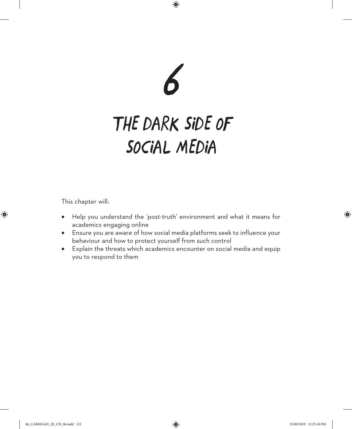

# *THE DARK SIDE OF SOCIAL MEDIA*

This chapter will:

- Help you understand the 'post-truth' environment and what it means for academics engaging online
- Ensure you are aware of how social media platforms seek to influence your behaviour and how to protect yourself from such control
- Explain the threats which academics encounter on social media and equip you to respond to them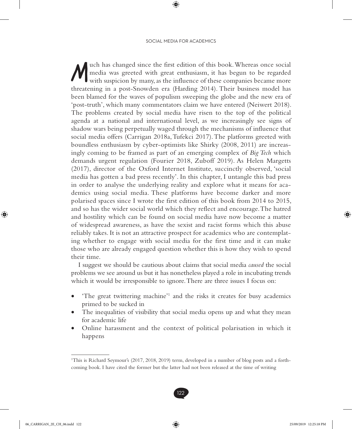with has changed since the first edition of this book. Whereas once social media was greeted with great enthusiasm, it has begun to be regarded with suspicion by many, as the influence of these companies became more media was greeted with great enthusiasm, it has begun to be regarded threatening in a post-Snowden era (Harding 2014). Their business model has been blamed for the waves of populism sweeping the globe and the new era of 'post-truth', which many commentators claim we have entered (Neiwert 2018). The problems created by social media have risen to the top of the political agenda at a national and international level, as we increasingly see signs of shadow wars being perpetually waged through the mechanisms of influence that social media offers (Carrigan 2018a, Tufekci 2017). The platforms greeted with boundless enthusiasm by cyber-optimists like Shirky (2008, 2011) are increasingly coming to be framed as part of an emerging complex of *Big Tech* which demands urgent regulation (Fourier 2018, Zuboff 2019). As Helen Margetts (2017), director of the Oxford Internet Institute, succinctly observed, 'social media has gotten a bad press recently'. In this chapter, I untangle this bad press in order to analyse the underlying reality and explore what it means for academics using social media. These platforms have become darker and more polarised spaces since I wrote the first edition of this book from 2014 to 2015, and so has the wider social world which they reflect and encourage. The hatred and hostility which can be found on social media have now become a matter of widespread awareness, as have the sexist and racist forms which this abuse reliably takes. It is not an attractive prospect for academics who are contemplating whether to engage with social media for the first time and it can make those who are already engaged question whether this is how they wish to spend their time.

I suggest we should be cautious about claims that social media *caused* the social problems we see around us but it has nonetheless played a role in incubating trends which it would be irresponsible to ignore. There are three issues I focus on:

- 'The great twittering machine'<sup>1</sup> and the risks it creates for busy academics primed to be sucked in
- The inequalities of visibility that social media opens up and what they mean for academic life
- Online harassment and the context of political polarisation in which it happens

<sup>1</sup> This is Richard Seymour's (2017, 2018, 2019) term, developed in a number of blog posts and a forthcoming book. I have cited the former but the latter had not been released at the time of writing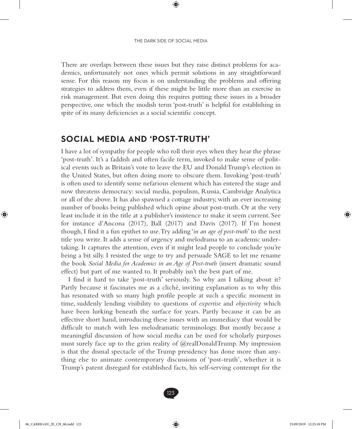There are overlaps between these issues but they raise distinct problems for academics, unfortunately not ones which permit solutions in any straightforward sense. For this reason my focus is on understanding the problems and offering strategies to address them, even if these might be little more than an exercise in risk management. But even doing this requires putting these issues in a broader perspective, one which the modish term 'post-truth' is helpful for establishing in spite of its many deficiencies as a social scientific concept.

#### **SOCIAL MEDIA AND 'POST-TRUTH'**

I have a lot of sympathy for people who roll their eyes when they hear the phrase 'post-truth'. It's a faddish and often facile term, invoked to make sense of political events such as Britain's vote to leave the EU and Donald Trump's election in the United States, but often doing more to obscure them. Invoking 'post-truth' is often used to identify some nefarious element which has entered the stage and now threatens democracy: social media, populism, Russia, Cambridge Analytica or all of the above. It has also spawned a cottage industry, with an ever increasing number of books being published which opine about post-truth. Or at the very least include it in the title at a publisher's insistence to make it seem current. See for instance d'Ancona (2017), Ball (2017) and Davis (2017). If I'm honest though, I find it a fun epithet to use. Try adding '*in an age of post-truth*' to the next title you write. It adds a sense of urgency and melodrama to an academic undertaking. It captures the attention, even if it might lead people to conclude you're being a bit silly. I resisted the urge to try and persuade SAGE to let me rename the book *Social Media for Academics in an Age of Post-truth* (insert dramatic sound effect) but part of me wanted to. It probably isn't the best part of me.

I find it hard to take 'post-truth' seriously. So why am I talking about it? Partly because it fascinates me as a cliché, inviting explanation as to why this has resonated with so many high profile people at such a specific moment in time, suddenly lending visibility to questions of *expertise* and *objectivity* which have been lurking beneath the surface for years. Partly because it can be an effective short hand, introducing these issues with an immediacy that would be difficult to match with less melodramatic terminology. But mostly because a meaningful discussion of how social media can be used for scholarly purposes must surely face up to the grim reality of @realDonaldTrump. My impression is that the dismal spectacle of the Trump presidency has done more than anything else to animate contemporary discussions of 'post-truth', whether it is Trump's patent disregard for established facts, his self-serving contempt for the

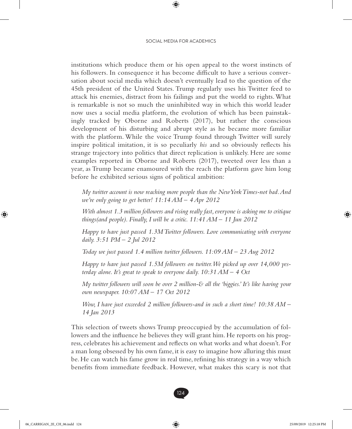institutions which produce them or his open appeal to the worst instincts of his followers. In consequence it has become difficult to have a serious conversation about social media which doesn't eventually lead to the question of the 45th president of the United States. Trump regularly uses his Twitter feed to attack his enemies, distract from his failings and put the world to rights. What is remarkable is not so much the uninhibited way in which this world leader now uses a social media platform, the evolution of which has been painstakingly tracked by Oborne and Roberts (2017), but rather the conscious development of his disturbing and abrupt style as he became more familiar with the platform. While the voice Trump found through Twitter will surely inspire political imitation, it is so peculiarly *his* and so obviously reflects his strange trajectory into politics that direct replication is unlikely. Here are some examples reported in Oborne and Roberts (2017), tweeted over less than a year, as Trump became enamoured with the reach the platform gave him long before he exhibited serious signs of political ambition:

*My twitter account is now reaching more people than the New York Times-not bad. And we're only going to get better! 11:14 AM – 4 Apr 2012*

*With almost 1.3 million followers and rising really fast, everyone is asking me to critique things(and people). Finally, I will be a critic. 11:41 AM – 11 Jun 2012*

*Happy to have just passed 1.3M Twitter followers. Love communicating with everyone daily. 3:51 PM – 2 Jul 2012*

*Today we just passed 1.4 million twitter followers. 11:09 AM – 23 Aug 2012*

*Happy to have just passed 1.5M followers on twitter. We picked up over 14,000 yesterday alone. It's great to speak to everyone daily. 10:31 AM – 4 Oct*

*My twitter followers will soon be over 2 million-& all the 'biggies.' It's like having your own newspaper. 10:07 AM – 17 Oct 2012*

*Wow, I have just exceeded 2 million followers-and in such a short time! 10:38 AM – 14 Jan 2013*

This selection of tweets shows Trump preoccupied by the accumulation of followers and the influence he believes they will grant him. He reports on his progress, celebrates his achievement and reflects on what works and what doesn't. For a man long obsessed by his own fame, it is easy to imagine how alluring this must be. He can watch his fame grow in real time, refining his strategy in a way which benefits from immediate feedback. However, what makes this scary is not that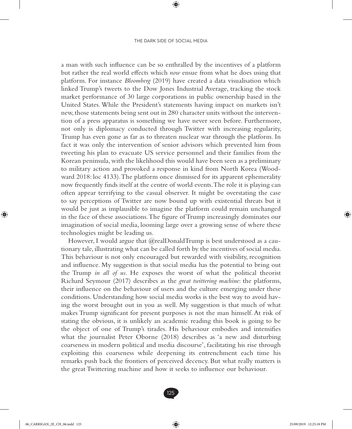a man with such influence can be so enthralled by the incentives of a platform but rather the real world effects which *now* ensue from what he does using that platform. For instance *Bloomberg* (2019) have created a data visualisation which linked Trump's tweets to the Dow Jones Industrial Average, tracking the stock market performance of 30 large corporations in public ownership based in the United States. While the President's statements having impact on markets isn't new, those statements being sent out in 280 character units without the intervention of a press apparatus is something we have never seen before. Furthermore, not only is diplomacy conducted through Twitter with increasing regularity, Trump has even gone as far as to threaten nuclear war through the platform. In fact it was only the intervention of senior advisors which prevented him from tweeting his plan to evacuate US service personnel and their families from the Korean peninsula, with the likelihood this would have been seen as a preliminary to military action and provoked a response in kind from North Korea (Woodward 2018: loc 4133). The platform once dismissed for its apparent ephemerality now frequently finds itself at the centre of world events. The role it is playing can often appear terrifying to the casual observer. It might be overstating the case to say perceptions of Twitter are now bound up with existential threats but it would be just as implausible to imagine the platform could remain unchanged in the face of these associations. The figure of Trump increasingly dominates our imagination of social media, looming large over a growing sense of where these technologies might be leading us.

However, I would argue that @realDonaldTrump is best understood as a cautionary tale, illustrating what can be called forth by the incentives of social media. This behaviour is not only encouraged but rewarded with visibility, recognition and influence. My suggestion is that social media has the potential to bring out the Trump *in all of us*. He exposes the worst of what the political theorist Richard Seymour (2017) describes as the *great twittering machine*: the platforms, their influence on the behaviour of users and the culture emerging under these conditions. Understanding how social media works is the best way to avoid having the worst brought out in you as well. My suggestion is that much of what makes Trump significant for present purposes is not the man himself. At risk of stating the obvious, it is unlikely an academic reading this book is going to be the object of one of Trump's tirades. His behaviour embodies and intensifies what the journalist Peter Oborne (2018) describes as 'a new and disturbing coarseness in modern political and media discourse', facilitating his rise through exploiting this coarseness while deepening its entrenchment each time his remarks push back the frontiers of perceived decency. But what really matters is the great Twittering machine and how it seeks to influence our behaviour.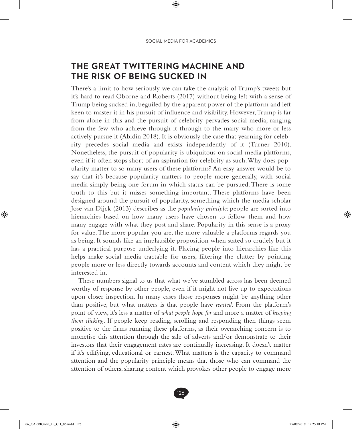## **THE GREAT TWITTERING MACHINE AND THE RISK OF BEING SUCKED IN**

There's a limit to how seriously we can take the analysis of Trump's tweets but it's hard to read Oborne and Roberts (2017) without being left with a sense of Trump being sucked in, beguiled by the apparent power of the platform and left keen to master it in his pursuit of influence and visibility. However, Trump is far from alone in this and the pursuit of celebrity pervades social media, ranging from the few who achieve through it through to the many who more or less actively pursue it (Abidin 2018). It is obviously the case that yearning for celebrity precedes social media and exists independently of it (Turner 2010). Nonetheless, the pursuit of popularity is ubiquitous on social media platforms, even if it often stops short of an aspiration for celebrity as such. Why does popularity matter to so many users of these platforms? An easy answer would be to say that it's because popularity matters to people more generally, with social media simply being one forum in which status can be pursued. There is some truth to this but it misses something important. These platforms have been designed around the pursuit of popularity, something which the media scholar Jose van Dijck (2013) describes as the *popularity principle*: people are sorted into hierarchies based on how many users have chosen to follow them and how many engage with what they post and share. Popularity in this sense is a proxy for value. The more popular you are, the more valuable a platforms regards you as being. It sounds like an implausible proposition when stated so crudely but it has a practical purpose underlying it. Placing people into hierarchies like this helps make social media tractable for users, filtering the clutter by pointing people more or less directly towards accounts and content which they might be interested in.

These numbers signal to us that what we've stumbled across has been deemed worthy of response by other people, even if it might not live up to expectations upon closer inspection. In many cases those responses might be anything other than positive, but what matters is that people have *reacted*. From the platform's point of view, it's less a matter of *what people hope for* and more a matter of *keeping them clicking*. If people keep reading, scrolling and responding then things seem positive to the firms running these platforms, as their overarching concern is to monetise this attention through the sale of adverts and/or demonstrate to their investors that their engagement rates are continually increasing. It doesn't matter if it's edifying, educational or earnest. What matters is the capacity to command attention and the popularity principle means that those who can command the attention of others, sharing content which provokes other people to engage more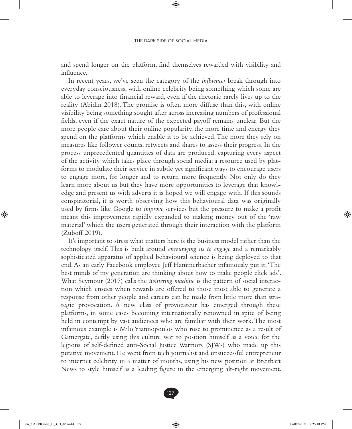and spend longer on the platform, find themselves rewarded with visibility and influence.

In recent years, we've seen the category of the *influencer* break through into everyday consciousness, with online celebrity being something which some are able to leverage into financial reward, even if the rhetoric rarely lives up to the reality (Abidin 2018). The promise is often more diffuse than this, with online visibility being something sought after across increasing numbers of professional fields, even if the exact nature of the expected payoff remains unclear. But the more people care about their online popularity, the more time and energy they spend on the platforms which enable it to be achieved. The more they rely on measures like follower counts, retweets and shares to assess their progress. In the process unprecedented quantities of data are produced, capturing every aspect of the activity which takes place through social media; a resource used by platforms to modulate their service in subtle yet significant ways to encourage users to engage more, for longer and to return more frequently. Not only do they learn more about us but they have more opportunities to leverage that knowledge and present us with adverts it is hoped we will engage with. If this sounds conspiratorial, it is worth observing how this behavioural data was originally used by firms like Google to *improve* services but the pressure to make a profit meant this improvement rapidly expanded to making money out of the 'raw material' which the users generated through their interaction with the platform (Zuboff 2019).

It's important to stress what matters here is the business model rather than the technology itself. This is built around *encouraging us to engage* and a remarkably sophisticated apparatus of applied behavioural science is being deployed to that end. As an early Facebook employee Jeff Hammerbacher infamously put it, 'The best minds of my generation are thinking about how to make people click ads'. What Seymour (2017) calls the *twittering machine* is the pattern of social interaction which ensues when rewards are offered to those most able to generate a response from other people and careers can be made from little more than strategic provocation. A new class of provocateur has emerged through these platforms, in some cases becoming internationally renowned in spite of being held in contempt by vast audiences who are familiar with their work. The most infamous example is Milo Yiannopoulos who rose to prominence as a result of Gamergate, deftly using this culture war to position himself as a voice for the legions of self-defined anti-Social Justice Warriors (SJWs) who made up this putative movement. He went from tech journalist and unsuccessful entrepreneur to internet celebrity in a matter of months, using his new position at Breitbart News to style himself as a leading figure in the emerging alt-right movement.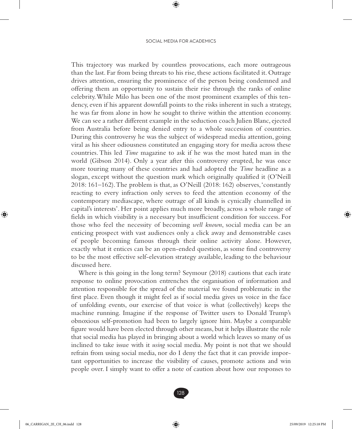This trajectory was marked by countless provocations, each more outrageous than the last. Far from being threats to his rise, these actions facilitated it. Outrage drives attention, ensuring the prominence of the person being condemned and offering them an opportunity to sustain their rise through the ranks of online celebrity. While Milo has been one of the most prominent examples of this tendency, even if his apparent downfall points to the risks inherent in such a strategy, he was far from alone in how he sought to thrive within the attention economy. We can see a rather different example in the seduction coach Julien Blanc, ejected from Australia before being denied entry to a whole succession of countries. During this controversy he was the subject of widespread media attention, going viral as his sheer odiousness constituted an engaging story for media across these countries. This led *Time* magazine to ask if he was the most hated man in the world (Gibson 2014). Only a year after this controversy erupted, he was once more touring many of these countries and had adopted the *Time* headline as a slogan, except without the question mark which originally qualified it (O'Neill 2018: 161–162). The problem is that, as O'Neill (2018: 162) observes, 'constantly reacting to every infraction only serves to feed the attention economy of the contemporary mediascape, where outrage of all kinds is cynically channelled in capital's interests'. Her point applies much more broadly, across a whole range of fields in which visibility is a necessary but insufficient condition for success. For those who feel the necessity of becoming *well known*, social media can be an enticing prospect with vast audiences only a click away and demonstrable cases of people becoming famous through their online activity alone. However, exactly what it entices can be an open-ended question, as some find controversy to be the most effective self-elevation strategy available, leading to the behaviour discussed here.

Where is this going in the long term? Seymour (2018) cautions that each irate response to online provocation entrenches the organisation of information and attention responsible for the spread of the material we found problematic in the first place. Even though it might feel as if social media gives us voice in the face of unfolding events, our exercise of that voice is what (collectively) keeps the machine running. Imagine if the response of Twitter users to Donald Trump's obnoxious self-promotion had been to largely ignore him. Maybe a comparable figure would have been elected through other means, but it helps illustrate the role that social media has played in bringing about a world which leaves so many of us inclined to take issue with it *using* social media. My point is not that we should refrain from using social media, nor do I deny the fact that it can provide important opportunities to increase the visibility of causes, promote actions and win people over. I simply want to offer a note of caution about how our responses to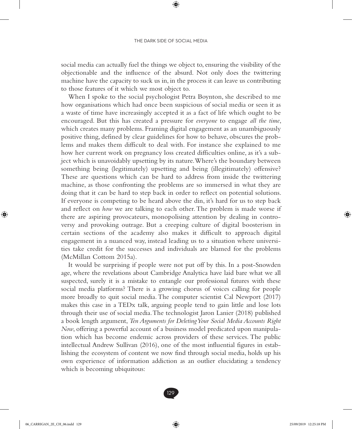social media can actually fuel the things we object to, ensuring the visibility of the objectionable and the influence of the absurd. Not only does the twittering machine have the capacity to suck us in, in the process it can leave us contributing to those features of it which we most object to.

When I spoke to the social psychologist Petra Boynton, she described to me how organisations which had once been suspicious of social media or seen it as a waste of time have increasingly accepted it as a fact of life which ought to be encouraged. But this has created a pressure for *everyone* to engage *all the time*, which creates many problems. Framing digital engagement as an unambiguously positive thing, defined by clear guidelines for how to behave, obscures the problems and makes them difficult to deal with. For instance she explained to me how her current work on pregnancy loss created difficulties online, as it's a subject which is unavoidably upsetting by its nature. Where's the boundary between something being (legitimately) upsetting and being (illegitimately) offensive? These are questions which can be hard to address from inside the twittering machine, as those confronting the problems are so immersed in what they are doing that it can be hard to step back in order to reflect on potential solutions. If everyone is competing to be heard above the din, it's hard for us to step back and reflect on *how* we are talking to each other. The problem is made worse if there are aspiring provocateurs, monopolising attention by dealing in controversy and provoking outrage. But a creeping culture of digital boosterism in certain sections of the academy also makes it difficult to approach digital engagement in a nuanced way, instead leading us to a situation where universities take credit for the successes and individuals are blamed for the problems (McMillan Cottom 2015a).

It would be surprising if people were not put off by this. In a post-Snowden age, where the revelations about Cambridge Analytica have laid bare what we all suspected, surely it is a mistake to entangle our professional futures with these social media platforms? There is a growing chorus of voices calling for people more broadly to quit social media. The computer scientist Cal Newport (2017) makes this case in a TEDx talk, arguing people tend to gain little and lose lots through their use of social media. The technologist Jaron Lanier (2018) published a book length argument, *Ten Arguments for Deleting Your Social Media Accounts Right Now*, offering a powerful account of a business model predicated upon manipulation which has become endemic across providers of these services. The public intellectual Andrew Sullivan (2016), one of the most influential figures in establishing the ecosystem of content we now find through social media, holds up his own experience of information addiction as an outlier elucidating a tendency which is becoming ubiquitous: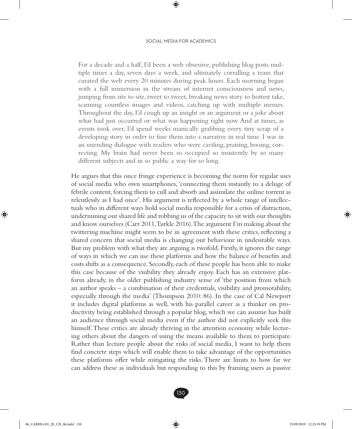#### SOCIAL MEDIA FOR ACADEMICS

For a decade and a half, I'd been a web obsessive, publishing blog posts multiple times a day, seven days a week, and ultimately corralling a team that curated the web every 20 minutes during peak hours. Each morning began with a full immersion in the stream of internet consciousness and news, jumping from site to site, tweet to tweet, breaking news story to hottest take, scanning countless images and videos, catching up with multiple memes. Throughout the day, I'd cough up an insight or an argument or a joke about what had just occurred or what was happening right now. And at times, as events took over, I'd spend weeks manically grabbing every tiny scrap of a developing story in order to fuse them into a narrative in real time. I was in an unending dialogue with readers who were caviling, praising, booing, correcting. My brain had never been so occupied so insistently by so many different subjects and in so public a way for so long.

He argues that this once fringe experience is becoming the norm for regular uses of social media who own smartphones, 'connecting them instantly to a deluge of febrile content, forcing them to cull and absorb and assimilate the online torrent as relentlessly as I had once'. His argument is reflected by a whole range of intellectuals who in different ways hold social media responsible for a crisis of distraction, undermining our shared life and robbing us of the capacity to sit with our thoughts and know ourselves (Carr 2011, Turkle 2016). The argument I'm making about the twittering machine might seem to be in agreement with these critics, reflecting a shared concern that social media is changing our behaviour in undesirable ways. But my problem with what they are arguing is twofold. Firstly, it ignores the range of ways in which we can use these platforms and how the balance of benefits and costs shifts as a consequence. Secondly, each of these people has been able to make this case because of the visibility they already enjoy. Each has an extensive platform already, in the older publishing industry sense of 'the position from which an author speaks – a combination of their credentials, visibility and promotability, especially through the media' (Thompson 2010: 86). In the case of Cal Newport it includes digital platforms as well, with his parallel career as a thinker on productivity being established through a popular blog, which we can assume has built an audience through social media even if the author did not explicitly seek this himself. These critics are already thriving in the attention economy while lecturing others about the dangers of using the means available to them to participate. Rather than lecture people about the risks of social media, I want to help them find concrete steps which will enable them to take advantage of the opportunities these platforms offer while mitigating the risks. There are limits to how far we can address these as individuals but responding to this by framing users as passive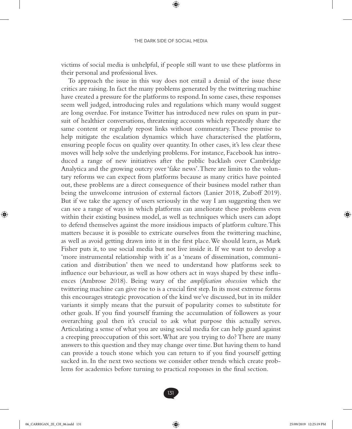victims of social media is unhelpful, if people still want to use these platforms in their personal and professional lives.

To approach the issue in this way does not entail a denial of the issue these critics are raising. In fact the many problems generated by the twittering machine have created a pressure for the platforms to respond. In some cases, these responses seem well judged, introducing rules and regulations which many would suggest are long overdue. For instance Twitter has introduced new rules on spam in pursuit of healthier conversations, threatening accounts which repeatedly share the same content or regularly repost links without commentary. These promise to help mitigate the escalation dynamics which have characterised the platform, ensuring people focus on quality over quantity. In other cases, it's less clear these moves will help solve the underlying problems. For instance, Facebook has introduced a range of new initiatives after the public backlash over Cambridge Analytica and the growing outcry over 'fake news'. There are limits to the voluntary reforms we can expect from platforms because as many critics have pointed out, these problems are a direct consequence of their business model rather than being the unwelcome intrusion of external factors (Lanier 2018, Zuboff 2019). But if we take the agency of users seriously in the way I am suggesting then we can see a range of ways in which platforms can ameliorate these problems even within their existing business model, as well as techniques which users can adopt to defend themselves against the more insidious impacts of platform culture. This matters because it is possible to extricate ourselves from the twittering machine, as well as avoid getting drawn into it in the first place. We should learn, as Mark Fisher puts it, to use social media but not live inside it. If we want to develop a 'more instrumental relationship with it' as a 'means of dissemination, communication and distribution' then we need to understand how platforms seek to influence our behaviour, as well as how others act in ways shaped by these influences (Ambrose 2018). Being wary of the *amplification obsession* which the twittering machine can give rise to is a crucial first step. In its most extreme forms this encourages strategic provocation of the kind we've discussed, but in its milder variants it simply means that the pursuit of popularity comes to substitute for other goals. If you find yourself framing the accumulation of followers as your overarching goal then it's crucial to ask what purpose this actually serves. Articulating a sense of what you are using social media for can help guard against a creeping preoccupation of this sort. What are you trying to do? There are many answers to this question and they may change over time. But having them to hand can provide a touch stone which you can return to if you find yourself getting sucked in. In the next two sections we consider other trends which create problems for academics before turning to practical responses in the final section.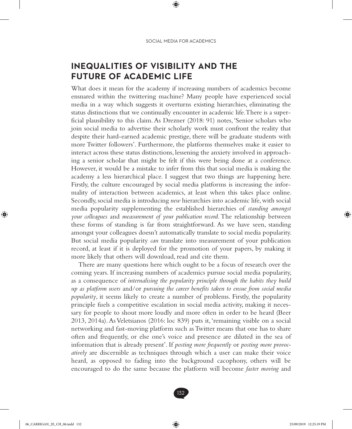## **INEQUALITIES OF VISIBILITY AND THE FUTURE OF ACADEMIC LIFE**

What does it mean for the academy if increasing numbers of academics become ensnared within the twittering machine? Many people have experienced social media in a way which suggests it overturns existing hierarchies, eliminating the status distinctions that we continually encounter in academic life. There is a superficial plausibility to this claim. As Drezner (2018: 91) notes, 'Senior scholars who join social media to advertise their scholarly work must confront the reality that despite their hard-earned academic prestige, there will be graduate students with more Twitter followers'. Furthermore, the platforms themselves make it easier to interact across these status distinctions, lessening the anxiety involved in approaching a senior scholar that might be felt if this were being done at a conference. However, it would be a mistake to infer from this that social media is making the academy a less hierarchical place. I suggest that two things are happening here. Firstly, the culture encouraged by social media platforms is increasing the informality of interaction between academics, at least when this takes place online. Secondly, social media is introducing *new* hierarchies into academic life, with social media popularity supplementing the established hierarchies of *standing amongst your colleagues* and *measurement of your publication record*. The relationship between these forms of standing is far from straightforward. As we have seen, standing amongst your colleagues doesn't automatically translate to social media popularity. But social media popularity *can* translate into measurement of your publication record, at least if it is deployed for the promotion of your papers, by making it more likely that others will download, read and cite them.

There are many questions here which ought to be a focus of research over the coming years. If increasing numbers of academics pursue social media popularity, as a consequence of *internalising the popularity principle through the habits they build up as platform users* and/or *pursuing the career benefits taken to ensue from social media popularity*, it seems likely to create a number of problems. Firstly, the popularity principle fuels a competitive escalation in social media activity, making it necessary for people to shout more loudly and more often in order to be heard (Beer 2013, 2014a). As Veletsianos (2016: loc 839) puts it, 'remaining visible on a social networking and fast-moving platform such as Twitter means that one has to share often and frequently, or else one's voice and presence are diluted in the sea of information that is already present'. If *posting more frequently* or *posting more provocatively* are discernible as techniques through which a user can make their voice heard, as opposed to fading into the background cacophony, others will be encouraged to do the same because the platform will become *faster moving* and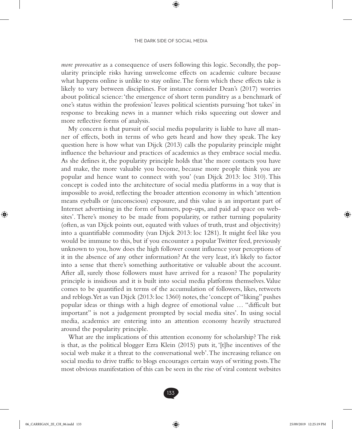*more provocative* as a consequence of users following this logic. Secondly, the popularity principle risks having unwelcome effects on academic culture because what happens online is unlike to stay online. The form which these effects take is likely to vary between disciplines. For instance consider Dean's (2017) worries about political science: 'the emergence of short term punditry as a benchmark of one's status within the profession' leaves political scientists pursuing 'hot takes' in response to breaking news in a manner which risks squeezing out slower and more reflective forms of analysis.

My concern is that pursuit of social media popularity is liable to have all manner of effects, both in terms of who gets heard and how they speak. The key question here is how what van Dijck (2013) calls the popularity principle might influence the behaviour and practices of academics as they embrace social media. As she defines it, the popularity principle holds that 'the more contacts you have and make, the more valuable you become, because more people think you are popular and hence want to connect with you' (van Dijck 2013: loc 310). This concept is coded into the architecture of social media platforms in a way that is impossible to avoid, reflecting the broader attention economy in which 'attention means eyeballs or (unconscious) exposure, and this value is an important part of Internet advertising in the form of banners, pop-ups, and paid ad space on websites'. There's money to be made from popularity, or rather turning popularity (often, as van Dijck points out, equated with values of truth, trust and objectivity) into a quantifiable commodity (van Dijck 2013: loc 1281). It might feel like you would be immune to this, but if you encounter a popular Twitter feed, previously unknown to you, how does the high follower count influence your perceptions of it in the absence of any other information? At the very least, it's likely to factor into a sense that there's something authoritative or valuable about the account. After all, surely those followers must have arrived for a reason? The popularity principle is insidious and it is built into social media platforms themselves. Value comes to be quantified in terms of the accumulation of followers, likes, retweets and reblogs. Yet as van Dijck (2013: loc 1360) notes, the 'concept of "liking" pushes popular ideas or things with a high degree of emotional value … "difficult but important" is not a judgement prompted by social media sites'. In using social media, academics are entering into an attention economy heavily structured around the popularity principle.

What are the implications of this attention economy for scholarship? The risk is that, as the political blogger Ezra Klein (2015) puts it, '[t]he incentives of the social web make it a threat to the conversational web'. The increasing reliance on social media to drive traffic to blogs encourages certain ways of writing posts. The most obvious manifestation of this can be seen in the rise of viral content websites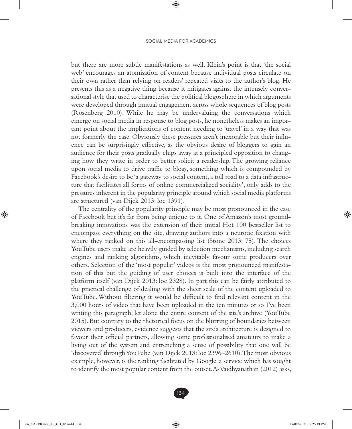but there are more subtle manifestations as well. Klein's point is that 'the social web' encourages an atomisation of content because individual posts circulate on their own rather than relying on readers' repeated visits to the author's blog. He presents this as a negative thing because it mitigates against the intensely conversational style that used to characterise the political blogosphere in which arguments were developed through mutual engagement across whole sequences of blog posts (Rosenberg 2010). While he may be undervaluing the conversations which emerge on social media in response to blog posts, he nonetheless makes an important point about the implications of content needing to 'travel' in a way that was not formerly the case. Obviously these pressures aren't inexorable but their influence can be surprisingly effective, as the obvious desire of bloggers to gain an audience for their posts gradually chips away at a principled opposition to changing how they write in order to better solicit a readership. The growing reliance upon social media to drive traffic to blogs, something which is compounded by Facebook's desire to be 'a gateway to social content, a toll road to a data infrastructure that facilitates all forms of online commercialized sociality', only adds to the pressures inherent in the popularity principle around which social media platforms are structured (van Dijck 2013: loc 1391).

The centrality of the popularity principle may be most pronounced in the case of Facebook but it's far from being unique to it. One of Amazon's most groundbreaking innovations was the extension of their initial Hot 100 bestseller list to encompass everything on the site, drawing authors into a neurotic fixation with where they ranked on this all-encompassing list (Stone 2013: 75). The choices YouTube users make are heavily guided by selection mechanisms, including search engines and ranking algorithms, which inevitably favour some producers over others. Selection of the 'most popular' videos is the most pronounced manifestation of this but the guiding of user choices is built into the interface of the platform itself (van Dijck 2013: loc 2328). In part this can be fairly attributed to the practical challenge of dealing with the sheer scale of the content uploaded to YouTube. Without filtering it would be difficult to find relevant content in the 3,000 hours of video that have been uploaded in the ten minutes or so I've been writing this paragraph, let alone the entire content of the site's archive (YouTube 2015). But contrary to the rhetorical focus on the blurring of boundaries between viewers and producers, evidence suggests that the site's architecture is designed to favour their official partners, allowing some professionalised amateurs to make a living out of the system and entrenching a sense of possibility that one will be 'discovered' through YouTube (van Dijck 2013: loc 2396–2610). The most obvious example, however, is the ranking facilitated by Google, a service which has sought to identify the most popular content from the outset. As Vaidhyanathan (2012) asks,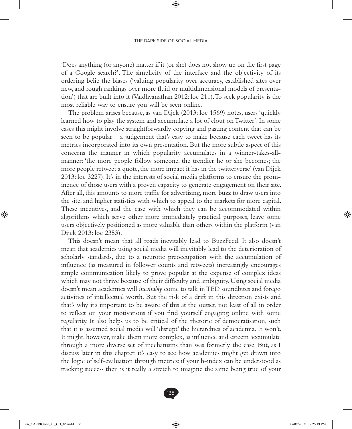'Does anything (or anyone) matter if it (or she) does not show up on the first page of a Google search?'. The simplicity of the interface and the objectivity of its ordering belie the biases ('valuing popularity over accuracy, established sites over new, and rough rankings over more fluid or multidimensional models of presentation') that are built into it (Vaidhyanathan 2012: loc 211). To seek popularity is the most reliable way to ensure you will be seen online.

The problem arises because, as van Dijck (2013: loc 1569) notes, users 'quickly learned how to play the system and accumulate a lot of clout on Twitter'. In some cases this might involve straightforwardly copying and pasting content that can be seen to be popular – a judgement that's easy to make because each tweet has its metrics incorporated into its own presentation. But the more subtle aspect of this concerns the manner in which popularity accumulates in a winner-takes-allmanner: 'the more people follow someone, the trendier he or she becomes; the more people retweet a quote, the more impact it has in the twitterverse' (van Dijck 2013: loc 3227). It's in the interests of social media platforms to ensure the prominence of those users with a proven capacity to generate engagement on their site. After all, this amounts to more traffic for advertising, more buzz to draw users into the site, and higher statistics with which to appeal to the markets for more capital. These incentives, and the ease with which they can be accommodated within algorithms which serve other more immediately practical purposes, leave some users objectively positioned as more valuable than others within the platform (van Dijck 2013: loc 2353).

This doesn't mean that all roads inevitably lead to BuzzFeed. It also doesn't mean that academics using social media will inevitably lead to the deterioration of scholarly standards, due to a neurotic preoccupation with the accumulation of influence (as measured in follower counts and retweets) increasingly encourages simple communication likely to prove popular at the expense of complex ideas which may not thrive because of their difficulty and ambiguity. Using social media doesn't mean academics will *inevitably* come to talk in TED soundbites and forego activities of intellectual worth. But the risk of a drift in this direction exists and that's why it's important to be aware of this at the outset, not least of all in order to reflect on your motivations if you find yourself engaging online with some regularity. It also helps us to be critical of the rhetoric of democratisation, such that it is assumed social media will 'disrupt' the hierarchies of academia. It won't. It might, however, make them more complex, as influence and esteem accumulate through a more diverse set of mechanisms than was formerly the case. But, as I discuss later in this chapter, it's easy to see how academics might get drawn into the logic of self-evaluation through metrics: if your h-index can be understood as tracking success then is it really a stretch to imagine the same being true of your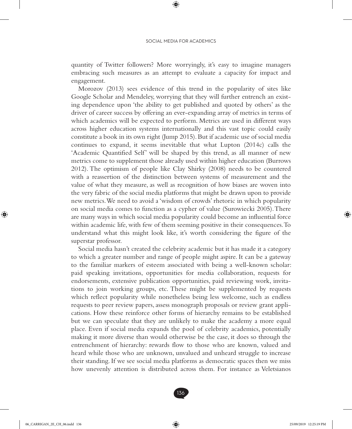quantity of Twitter followers? More worryingly, it's easy to imagine managers embracing such measures as an attempt to evaluate a capacity for impact and engagement.

Morozov (2013) sees evidence of this trend in the popularity of sites like Google Scholar and Mendeley, worrying that they will further entrench an existing dependence upon 'the ability to get published and quoted by others' as the driver of career success by offering an ever-expanding array of metrics in terms of which academics will be expected to perform. Metrics are used in different ways across higher education systems internationally and this vast topic could easily constitute a book in its own right (Jump 2015). But if academic use of social media continues to expand, it seems inevitable that what Lupton (2014c) calls the 'Academic Quantified Self' will be shaped by this trend, as all manner of new metrics come to supplement those already used within higher education (Burrows 2012). The optimism of people like Clay Shirky (2008) needs to be countered with a reassertion of the distinction between systems of measurement and the value of what they measure, as well as recognition of how biases are woven into the very fabric of the social media platforms that might be drawn upon to provide new metrics. We need to avoid a 'wisdom of crowds' rhetoric in which popularity on social media comes to function as a cypher of value (Surowiecki 2005). There are many ways in which social media popularity could become an influential force within academic life, with few of them seeming positive in their consequences. To understand what this might look like, it's worth considering the figure of the superstar professor.

Social media hasn't created the celebrity academic but it has made it a category to which a greater number and range of people might aspire. It can be a gateway to the familiar markers of esteem associated with being a well-known scholar: paid speaking invitations, opportunities for media collaboration, requests for endorsements, extensive publication opportunities, paid reviewing work, invitations to join working groups, etc. These might be supplemented by requests which reflect popularity while nonetheless being less welcome, such as endless requests to peer review papers, assess monograph proposals or review grant applications. How these reinforce other forms of hierarchy remains to be established but we can speculate that they are unlikely to make the academy a more equal place. Even if social media expands the pool of celebrity academics, potentially making it more diverse than would otherwise be the case, it does so through the entrenchment of hierarchy: rewards flow to those who are known, valued and heard while those who are unknown, unvalued and unheard struggle to increase their standing. If we see social media platforms as democratic spaces then we miss how unevenly attention is distributed across them. For instance as Veletsianos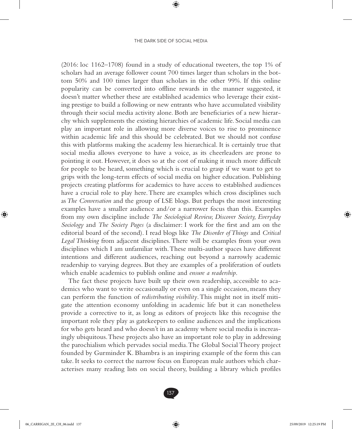(2016: loc 1162–1708) found in a study of educational tweeters, the top 1% of scholars had an average follower count 700 times larger than scholars in the bottom 50% and 100 times larger than scholars in the other 99%. If this online popularity can be converted into offline rewards in the manner suggested, it doesn't matter whether these are established academics who leverage their existing prestige to build a following or new entrants who have accumulated visibility through their social media activity alone. Both are beneficiaries of a new hierarchy which supplements the existing hierarchies of academic life. Social media can play an important role in allowing more diverse voices to rise to prominence within academic life and this should be celebrated. But we should not confuse this with platforms making the academy less hierarchical. It is certainly true that social media allows everyone to have a voice, as its cheerleaders are prone to pointing it out. However, it does so at the cost of making it much more difficult for people to be heard, something which is crucial to grasp if we want to get to grips with the long-term effects of social media on higher education. Publishing projects creating platforms for academics to have access to established audiences have a crucial role to play here. There are examples which cross disciplines such as *The Conversation* and the group of LSE blogs. But perhaps the most interesting examples have a smaller audience and/or a narrower focus than this. Examples from my own discipline include *The Sociological Review, Discover Society, Everyday Sociology* and *The Society Pages* (a disclaimer: I work for the first and am on the editorial board of the second). I read blogs like *The Disorder of Things* and *Critical Legal Thinking* from adjacent disciplines. There will be examples from your own disciplines which I am unfamiliar with. These multi-author spaces have different intentions and different audiences, reaching out beyond a narrowly academic readership to varying degrees. But they are examples of a proliferation of outlets which enable academics to publish online and *ensure a readership*.

The fact these projects have built up their own readership, accessible to academics who want to write occasionally or even on a single occasion, means they can perform the function of *redistributing visibility*. This might not in itself mitigate the attention economy unfolding in academic life but it can nonetheless provide a corrective to it, as long as editors of projects like this recognise the important role they play as gatekeepers to online audiences and the implications for who gets heard and who doesn't in an academy where social media is increasingly ubiquitous. These projects also have an important role to play in addressing the parochialism which pervades social media. The Global Social Theory project founded by Gurminder K. Bhambra is an inspiring example of the form this can take. It seeks to correct the narrow focus on European male authors which characterises many reading lists on social theory, building a library which profiles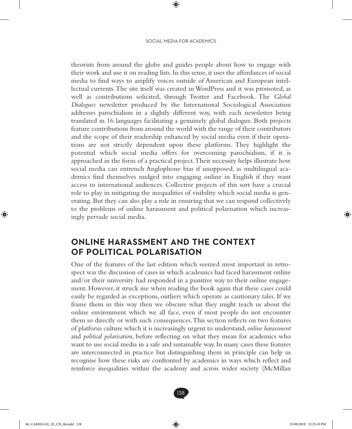theorists from around the globe and guides people about how to engage with their work and use it on reading lists. In this sense, it uses the affordances of social media to find ways to amplify voices outside of American and European intellectual currents. The site itself was created in WordPress and it was promoted, as well as contributions solicited, through Twitter and Facebook. The *Global Dialogues* newsletter produced by the International Sociological Association addresses parochialism in a slightly different way, with each newsletter being translated in 16 languages facilitating a genuinely global dialogue. Both projects feature contributions from around the world with the range of their contributors and the scope of their readership enhanced by social media even if their operations are not strictly dependent upon these platforms. They highlight the potential which social media offers for overcoming parochialism, if it is approached in the form of a practical project. Their necessity helps illustrate how social media can entrench Anglophone bias if unopposed, as multilingual academics find themselves nudged into engaging online in English if they want access to international audiences. Collective projects of this sort have a crucial role to play in mitigating the inequalities of visibility which social media is generating. But they can also play a role in ensuring that we can respond collectively to the problems of online harassment and political polarisation which increasingly pervade social media.

### **ONLINE HARASSMENT AND THE CONTEXT OF POLITICAL POLARISATION**

One of the features of the last edition which seemed most important in retrospect was the discussion of cases in which academics had faced harassment online and/or their university had responded in a punitive way to their online engagement. However, it struck me when reading the book again that these cases could easily be regarded as exceptions, outliers which operate as cautionary tales. If we frame them in this way then we obscure what they might teach us about the online environment which we all face, even if most people do not encounter them so directly or with such consequences. This section reflects on two features of platform culture which it is increasingly urgent to understand, *online harassment* and *political polarisation*, before reflecting on what they mean for academics who want to use social media in a safe and sustainable way. In many cases these features are interconnected in practice but distinguishing them in principle can help us recognise how these risks are confronted by academics in ways which reflect and reinforce inequalities within the academy and across wider society (McMillan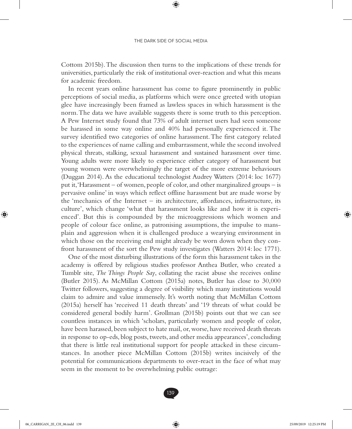Cottom 2015b). The discussion then turns to the implications of these trends for universities, particularly the risk of institutional over-reaction and what this means for academic freedom.

In recent years online harassment has come to figure prominently in public perceptions of social media, as platforms which were once greeted with utopian glee have increasingly been framed as lawless spaces in which harassment is the norm. The data we have available suggests there is some truth to this perception. A Pew Internet study found that 73% of adult internet users had seen someone be harassed in some way online and 40% had personally experienced it. The survey identified two categories of online harassment. The first category related to the experiences of name calling and embarrassment, while the second involved physical threats, stalking, sexual harassment and sustained harassment over time. Young adults were more likely to experience either category of harassment but young women were overwhelmingly the target of the more extreme behaviours (Duggan 2014). As the educational technologist Audrey Watters (2014: loc 1677) put it, 'Harassment – of women, people of color, and other marginalized groups – is pervasive online' in ways which reflect offline harassment but are made worse by the 'mechanics of the Internet – its architecture, affordances, infrastructure, its culture', which change 'what that harassment looks like and how it is experienced'. But this is compounded by the microaggressions which women and people of colour face online, as patronising assumptions, the impulse to mansplain and aggression when it is challenged produce a wearying environment in which those on the receiving end might already be worn down when they confront harassment of the sort the Pew study investigates (Watters 2014: loc 1771).

One of the most disturbing illustrations of the form this harassment takes in the academy is offered by religious studies professor Anthea Butler, who created a Tumblr site, *The Things People Say*, collating the racist abuse she receives online (Butler 2015). As McMillan Cottom (2015a) notes, Butler has close to 30,000 Twitter followers, suggesting a degree of visibility which many institutions would claim to admire and value immensely. It's worth noting that McMillan Cottom (2015a) herself has 'received 11 death threats' and '19 threats of what could be considered general bodily harm'. Grollman (2015b) points out that we can see countless instances in which 'scholars, particularly women and people of color, have been harassed, been subject to hate mail, or, worse, have received death threats in response to op-eds, blog posts, tweets, and other media appearances', concluding that there is little real institutional support for people attacked in these circumstances. In another piece McMillan Cottom (2015b) writes incisively of the potential for communications departments to over-react in the face of what may seem in the moment to be overwhelming public outrage: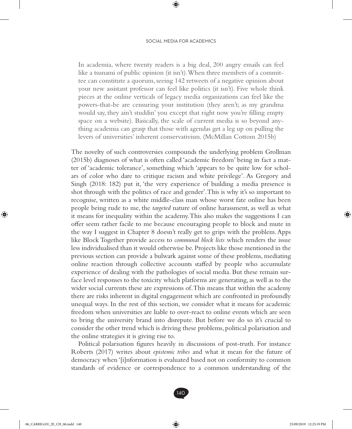In academia, where twenty readers is a big deal, 200 angry emails can feel like a tsunami of public opinion (it isn't). When three members of a committee can constitute a quorum, seeing 142 retweets of a negative opinion about your new assistant professor can feel like politics (it isn't). Five whole think pieces at the online verticals of legacy media organizations can feel like the powers-that-be are censuring your institution (they aren't; as my grandma would say, they ain't studdin' you except that right now you're filling empty space on a website). Basically, the scale of current media is so beyond anything academia can grasp that those with agendas get a leg up on pulling the levers of universities' inherent conservativism. (McMillan Cottom 2015b)

The novelty of such controversies compounds the underlying problem Grollman (2015b) diagnoses of what is often called 'academic freedom' being in fact a matter of 'academic tolerance', something which 'appears to be quite low for scholars of color who dare to critique racism and white privilege'. As Gregory and Singh (2018: 182) put it, 'the very experience of building a media presence is shot through with the politics of race and gender'. This is why it's so important to recognise, written as a white middle-class man whose worst fate online has been people being rude to me, the *targeted* nature of online harassment, as well as what it means for inequality within the academy. This also makes the suggestions I can offer seem rather facile to me because encouraging people to block and mute in the way I suggest in Chapter 8 doesn't really get to grips with the problem. Apps like Block Together provide access to *communal block lists* which renders the issue less individualised than it would otherwise be. Projects like those mentioned in the previous section can provide a bulwark against some of these problems, mediating online reaction through collective accounts staffed by people who accumulate experience of dealing with the pathologies of social media. But these remain surface level responses to the toxicity which platforms are generating, as well as to the wider social currents these are expressions of. This means that within the academy there are risks inherent in digital engagement which are confronted in profoundly unequal ways. In the rest of this section, we consider what it means for academic freedom when universities are liable to over-react to online events which are seen to bring the university brand into disrepute. But before we do so it's crucial to consider the other trend which is driving these problems, political polarisation and the online strategies it is giving rise to.

Political polarisation figures heavily in discussions of post-truth. For instance Roberts (2017) writes about *epistemic tribes* and what it mean for the future of democracy when '[i]nformation is evaluated based not on conformity to common standards of evidence or correspondence to a common understanding of the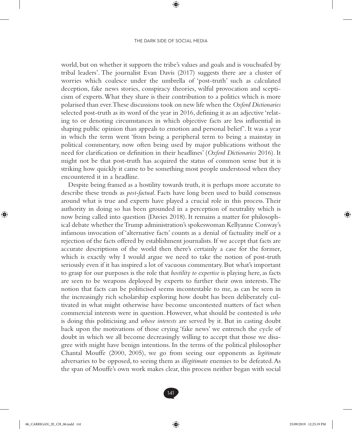world, but on whether it supports the tribe's values and goals and is vouchsafed by tribal leaders'. The journalist Evan Davis (2017) suggests there are a cluster of worries which coalesce under the umbrella of 'post-truth' such as calculated deception, fake news stories, conspiracy theories, wilful provocation and scepticism of experts. What they share is their contribution to a politics which is more polarised than ever. These discussions took on new life when the *Oxford Dictionaries* selected post-truth as its word of the year in 2016, defining it as an adjective 'relating to or denoting circumstances in which objective facts are less influential in shaping public opinion than appeals to emotion and personal belief'. It was a year in which the term went 'from being a peripheral term to being a mainstay in political commentary, now often being used by major publications without the need for clarification or definition in their headlines' (*Oxford Dictionaries* 2016). It might not be that post-truth has acquired the status of common sense but it is striking how quickly it came to be something most people understood when they encountered it in a headline.

Despite being framed as a hostility towards truth, it is perhaps more accurate to describe these trends as *post-factual*. Facts have long been used to build consensus around what is true and experts have played a crucial role in this process. Their authority in doing so has been grounded in a perception of neutrality which is now being called into question (Davies 2018). It remains a matter for philosophical debate whether the Trump administration's spokeswoman Kellyanne Conway's infamous invocation of 'alternative facts' counts as a denial of factuality itself or a rejection of the facts offered by establishment journalists. If we accept that facts are accurate descriptions of the world then there's certainly a case for the former, which is exactly why I would argue we need to take the notion of post-truth seriously even if it has inspired a lot of vacuous commentary. But what's important to grasp for our purposes is the role that *hostility to expertise* is playing here, as facts are seen to be weapons deployed by experts to further their own interests. The notion that facts can be politicised seems incontestable to me, as can be seen in the increasingly rich scholarship exploring how doubt has been deliberately cultivated in what might otherwise have become uncontested matters of fact when commercial interests were in question. However, what should be contested is *who* is doing this politicising and *whose interests* are served by it. But in casting doubt back upon the motivations of those crying 'fake news' we entrench the cycle of doubt in which we all become decreasingly willing to accept that those we disagree with might have benign intentions. In the terms of the political philosopher Chantal Mouffe (2000, 2005), we go from seeing our opponents as *legitimate* adversaries to be opposed, to seeing them as *illegitimate* enemies to be defeated. As the span of Mouffe's own work makes clear, this process neither began with social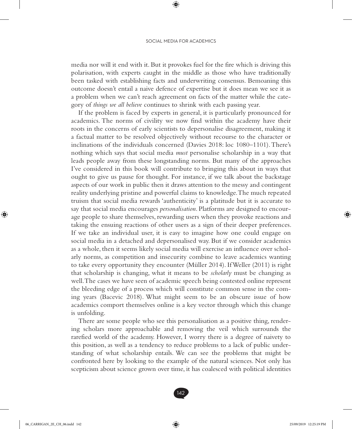#### SOCIAL MEDIA FOR ACADEMICS

media nor will it end with it. But it provokes fuel for the fire which is driving this polarisation, with experts caught in the middle as those who have traditionally been tasked with establishing facts and underwriting consensus. Bemoaning this outcome doesn't entail a naive defence of expertise but it does mean we see it as a problem when we can't reach agreement on facts of the matter while the category of *things we all believe* continues to shrink with each passing year.

If the problem is faced by experts in general, it is particularly pronounced for academics. The norms of civility we now find within the academy have their roots in the concerns of early scientists to depersonalise disagreement, making it a factual matter to be resolved objectively without recourse to the character or inclinations of the individuals concerned (Davies 2018: loc 1080–1101). There's nothing which says that social media *must* personalise scholarship in a way that leads people away from these longstanding norms. But many of the approaches I've considered in this book will contribute to bringing this about in ways that ought to give us pause for thought. For instance, if we talk about the backstage aspects of our work in public then it draws attention to the messy and contingent reality underlying pristine and powerful claims to knowledge. The much repeated truism that social media rewards 'authenticity' is a platitude but it is accurate to say that social media encourages *personalisation*. Platforms are designed to encourage people to share themselves, rewarding users when they provoke reactions and taking the ensuing reactions of other users as a sign of their deeper preferences. If we take an individual user, it is easy to imagine how one could engage on social media in a detached and depersonalised way. But if we consider academics as a whole, then it seems likely social media will exercise an influence over scholarly norms, as competition and insecurity combine to leave academics wanting to take every opportunity they encounter (Müller 2014). If Weller (2011) is right that scholarship is changing, what it means to be *scholarly* must be changing as well. The cases we have seen of academic speech being contested online represent the bleeding edge of a process which will constitute common sense in the coming years (Bacevic 2018). What might seem to be an obscure issue of how academics comport themselves online is a key vector through which this change is unfolding.

There are some people who see this personalisation as a positive thing, rendering scholars more approachable and removing the veil which surrounds the rarefied world of the academy. However, I worry there is a degree of naivety to this position, as well as a tendency to reduce problems to a lack of public understanding of what scholarship entails. We can see the problems that might be confronted here by looking to the example of the natural sciences. Not only has scepticism about science grown over time, it has coalesced with political identities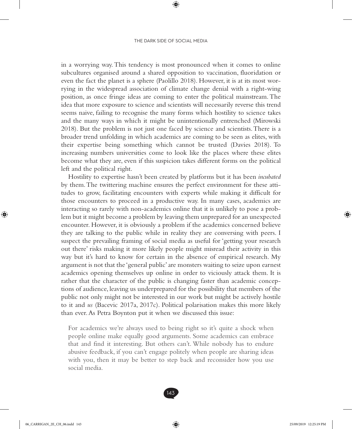in a worrying way. This tendency is most pronounced when it comes to online subcultures organised around a shared opposition to vaccination, fluoridation or even the fact the planet is a sphere (Paolillo 2018). However, it is at its most worrying in the widespread association of climate change denial with a right-wing position, as once fringe ideas are coming to enter the political mainstream. The idea that more exposure to science and scientists will necessarily reverse this trend seems naive, failing to recognise the many forms which hostility to science takes and the many ways in which it might be unintentionally entrenched (Mirowski 2018). But the problem is not just one faced by science and scientists. There is a broader trend unfolding in which academics are coming to be seen as elites, with their expertise being something which cannot be trusted (Davies 2018). To increasing numbers universities come to look like the places where these elites become what they are, even if this suspicion takes different forms on the political left and the political right.

Hostility to expertise hasn't been created by platforms but it has been *incubated* by them. The twittering machine ensures the perfect environment for these attitudes to grow, facilitating encounters with experts while making it difficult for those encounters to proceed in a productive way. In many cases, academics are interacting so rarely with non-academics online that it is unlikely to pose a problem but it might become a problem by leaving them unprepared for an unexpected encounter. However, it is obviously a problem if the academics concerned believe they are talking to the public while in reality they are conversing with peers. I suspect the prevailing framing of social media as useful for 'getting your research out there' risks making it more likely people might misread their activity in this way but it's hard to know for certain in the absence of empirical research. My argument is not that the 'general public' are monsters waiting to seize upon earnest academics opening themselves up online in order to viciously attack them. It is rather that the character of the public is changing faster than academic conceptions of audience, leaving us underprepared for the possibility that members of the public not only might not be interested in our work but might be actively hostile to it and *us* (Bacevic 2017a, 2017c). Political polarisation makes this more likely than ever. As Petra Boynton put it when we discussed this issue:

For academics we're always used to being right so it's quite a shock when people online make equally good arguments. Some academics can embrace that and find it interesting. But others can't. While nobody has to endure abusive feedback, if you can't engage politely when people are sharing ideas with you, then it may be better to step back and reconsider how you use social media.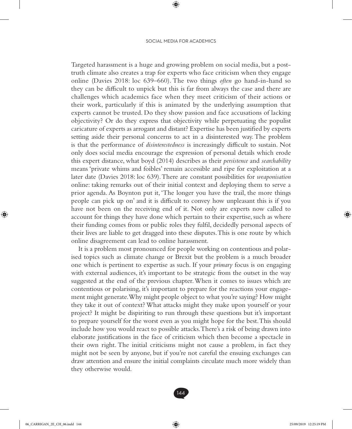Targeted harassment is a huge and growing problem on social media, but a posttruth climate also creates a trap for experts who face criticism when they engage online (Davies 2018: loc 639–660). The two things *often* go hand-in-hand so they can be difficult to unpick but this is far from always the case and there are challenges which academics face when they meet criticism of their actions or their work, particularly if this is animated by the underlying assumption that experts cannot be trusted. Do they show passion and face accusations of lacking objectivity? Or do they express that objectivity while perpetuating the populist caricature of experts as arrogant and distant? Expertise has been justified by experts setting aside their personal concerns to act in a disinterested way. The problem is that the performance of *disinterestedness* is increasingly difficult to sustain. Not only does social media encourage the expression of personal details which erode this expert distance, what boyd (2014) describes as their *persistence* and *searchability* means 'private whims and foibles' remain accessible and ripe for exploitation at a later date (Davies 2018: loc 639). There are constant possibilities for *weaponisation* online: taking remarks out of their initial context and deploying them to serve a prior agenda. As Boynton put it, 'The longer you have the trail, the more things people can pick up on' and it is difficult to convey how unpleasant this is if you have not been on the receiving end of it. Not only are experts now called to account for things they have done which pertain to their expertise, such as where their funding comes from or public roles they fulfil, decidedly personal aspects of their lives are liable to get dragged into these disputes. This is one route by which online disagreement can lead to online harassment.

It is a problem most pronounced for people working on contentious and polarised topics such as climate change or Brexit but the problem is a much broader one which is pertinent to expertise as such. If your *primary* focus is on engaging with external audiences, it's important to be strategic from the outset in the way suggested at the end of the previous chapter. When it comes to issues which are contentious or polarising, it's important to prepare for the reactions your engagement might generate. Why might people object to what you're saying? How might they take it out of context? What attacks might they make upon yourself or your project? It might be dispiriting to run through these questions but it's important to prepare yourself for the worst even as you might hope for the best. This should include how you would react to possible attacks. There's a risk of being drawn into elaborate justifications in the face of criticism which then become a spectacle in their own right. The initial criticisms might not cause a problem, in fact they might not be seen by anyone, but if you're not careful the ensuing exchanges can draw attention and ensure the initial complaints circulate much more widely than they otherwise would.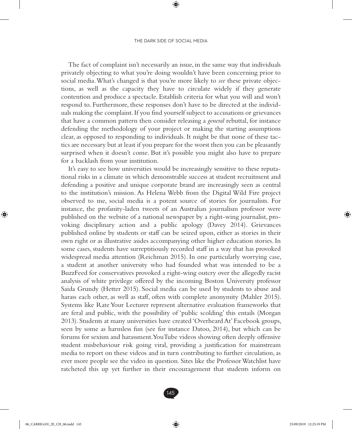The fact of complaint isn't necessarily an issue, in the same way that individuals privately objecting to what you're doing wouldn't have been concerning prior to social media. What's changed is that you're more likely to *see* these private objections, as well as the capacity they have to circulate widely if they generate contention and produce a spectacle. Establish criteria for what you will and won't respond to. Furthermore, these responses don't have to be directed at the individuals making the complaint. If you find yourself subject to accusations or grievances that have a common pattern then consider releasing a *general* rebuttal, for instance defending the methodology of your project or making the starting assumptions clear, as opposed to responding to individuals. It might be that none of these tactics are necessary but at least if you prepare for the worst then you can be pleasantly surprised when it doesn't come. But it's possible you might also have to prepare for a backlash from your institution.

It's easy to see how universities would be increasingly sensitive to these reputational risks in a climate in which demonstrable success at student recruitment and defending a positive and unique corporate brand are increasingly seen as central to the institution's mission. As Helena Webb from the Digital Wild Fire project observed to me, social media is a potent source of stories for journalists. For instance, the profanity-laden tweets of an Australian journalism professor were published on the website of a national newspaper by a right-wing journalist, provoking disciplinary action and a public apology (Davey 2014). Grievances published online by students or staff can be seized upon, either as stories in their own right or as illustrative asides accompanying other higher education stories. In some cases, students have surreptitiously recorded staff in a way that has provoked widespread media attention (Reichman 2015). In one particularly worrying case, a student at another university who had founded what was intended to be a BuzzFeed for conservatives provoked a right-wing outcry over the allegedly racist analysis of white privilege offered by the incoming Boston University professor Saida Grundy (Hetter 2015). Social media can be used by students to abuse and harass each other, as well as staff, often with complete anonymity (Mahler 2015). Systems like Rate Your Lecturer represent alternative evaluation frameworks that are feral and public, with the possibility of 'public scolding' this entails (Morgan 2013). Students at many universities have created 'Overheard At' Facebook groups, seen by some as harmless fun (see for instance Datoo, 2014), but which can be forums for sexism and harassment. YouTube videos showing often deeply offensive student misbehaviour risk going viral, providing a justification for mainstream media to report on these videos and in turn contributing to further circulation, as ever more people see the video in question. Sites like the Professor Watchlist have ratcheted this up yet further in their encouragement that students inform on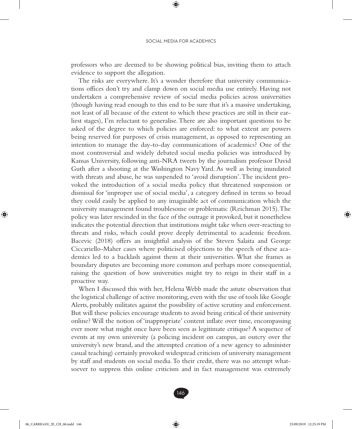professors who are deemed to be showing political bias, inviting them to attach evidence to support the allegation.

The risks are everywhere. It's a wonder therefore that university communications offices don't try and clamp down on social media use entirely. Having not undertaken a comprehensive review of social media policies across universities (though having read enough to this end to be sure that it's a massive undertaking, not least of all because of the extent to which these practices are still in their earliest stages), I'm reluctant to generalise. There are also important questions to be asked of the degree to which policies are enforced: to what extent are powers being reserved for purposes of crisis management, as opposed to representing an intention to manage the day-to-day communications of academics? One of the most controversial and widely debated social media policies was introduced by Kansas University, following anti-NRA tweets by the journalism professor David Guth after a shooting at the Washington Navy Yard. As well as being inundated with threats and abuse, he was suspended to 'avoid disruption'. The incident provoked the introduction of a social media policy that threatened suspension or dismissal for 'improper use of social media', a category defined in terms so broad they could easily be applied to any imaginable act of communication which the university management found troublesome or problematic (Reichman 2015). The policy was later rescinded in the face of the outrage it provoked, but it nonetheless indicates the potential direction that institutions might take when over-reacting to threats and risks, which could prove deeply detrimental to academic freedom. Bacevic (2018) offers an insightful analysis of the Steven Salaita and George Ciccariello-Maher cases where politicised objections to the speech of these academics led to a backlash against them at their universities. What she frames as boundary disputes are becoming more common and perhaps more consequential, raising the question of how universities might try to reign in their staff in a proactive way.

When I discussed this with her, Helena Webb made the astute observation that the logistical challenge of active monitoring, even with the use of tools like Google Alerts, probably militates against the possibility of active scrutiny and enforcement. But will these policies encourage students to avoid being critical of their university online? Will the notion of 'inappropriate' content inflate over time, encompassing ever more what might once have been seen as legitimate critique? A sequence of events at my own university (a policing incident on campus, an outcry over the university's new brand, and the attempted creation of a new agency to administer casual teaching) certainly provoked widespread criticism of university management by staff and students on social media. To their credit, there was no attempt whatsoever to suppress this online criticism and in fact management was extremely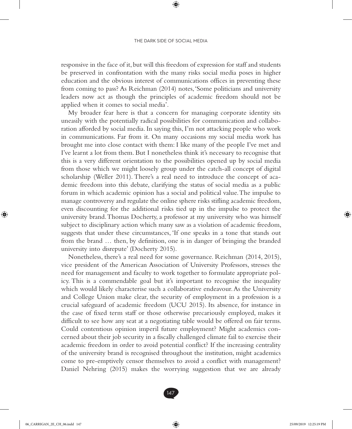responsive in the face of it, but will this freedom of expression for staff and students be preserved in confrontation with the many risks social media poses in higher education and the obvious interest of communications offices in preventing these from coming to pass? As Reichman (2014) notes, 'Some politicians and university leaders now act as though the principles of academic freedom should not be applied when it comes to social media'.

My broader fear here is that a concern for managing corporate identity sits uneasily with the potentially radical possibilities for communication and collaboration afforded by social media. In saying this, I'm not attacking people who work in communications. Far from it. On many occasions my social media work has brought me into close contact with them: I like many of the people I've met and I've learnt a lot from them. But I nonetheless think it's necessary to recognise that this is a very different orientation to the possibilities opened up by social media from those which we might loosely group under the catch-all concept of digital scholarship (Weller 2011). There's a real need to introduce the concept of academic freedom into this debate, clarifying the status of social media as a public forum in which academic opinion has a social and political value. The impulse to manage controversy and regulate the online sphere risks stifling academic freedom, even discounting for the additional risks tied up in the impulse to protect the university brand. Thomas Docherty, a professor at my university who was himself subject to disciplinary action which many saw as a violation of academic freedom, suggests that under these circumstances, 'If one speaks in a tone that stands out from the brand … then, by definition, one is in danger of bringing the branded university into disrepute' (Docherty 2015).

Nonetheless, there's a real need for some governance. Reichman (2014, 2015), vice president of the American Association of University Professors, stresses the need for management and faculty to work together to formulate appropriate policy. This is a commendable goal but it's important to recognise the inequality which would likely characterise such a collaborative endeavour. As the University and College Union make clear, the security of employment in a profession is a crucial safeguard of academic freedom (UCU 2015). Its absence, for instance in the case of fixed term staff or those otherwise precariously employed, makes it difficult to see how any seat at a negotiating table would be offered on fair terms. Could contentious opinion imperil future employment? Might academics concerned about their job security in a fiscally challenged climate fail to exercise their academic freedom in order to avoid potential conflict? If the increasing centrality of the university brand is recognised throughout the institution, might academics come to pre-emptively censor themselves to avoid a conflict with management? Daniel Nehring (2015) makes the worrying suggestion that we are already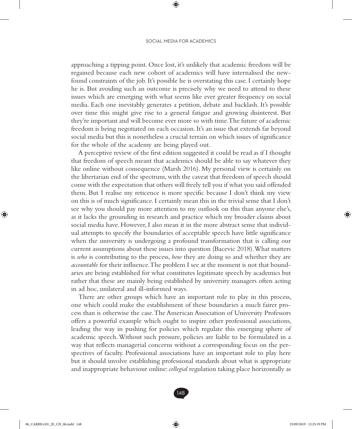approaching a tipping point. Once lost, it's unlikely that academic freedom will be regained because each new cohort of academics will have internalised the newfound constraints of the job. It's possible he is overstating this case. I certainly hope he is. But avoiding such an outcome is precisely why we need to attend to these issues which are emerging with what seems like ever greater frequency on social media. Each one inevitably generates a petition, debate and backlash. It's possible over time this might give rise to a general fatigue and growing disinterest. But they're important and will become ever more so with time. The future of academic freedom is being negotiated on each occasion. It's an issue that extends far beyond social media but this is nonetheless a crucial terrain on which issues of significance for the whole of the academy are being played out.

A perceptive review of the first edition suggested it could be read as if I thought that freedom of speech meant that academics should be able to say whatever they like online without consequence (Marsh 2016). My personal view is certainly on the libertarian end of the spectrum, with the caveat that freedom of speech should come with the expectation that others will freely tell you if what you said offended them. But I realise my reticence is more specific because I don't think my view on this is of much significance. I certainly mean this in the trivial sense that I don't see why you should pay more attention to my outlook on this than anyone else's, as it lacks the grounding in research and practice which my broader claims about social media have. However, I also mean it in the more abstract sense that individual attempts to specify the boundaries of acceptable speech have little significance when the university is undergoing a profound transformation that is calling our current assumptions about these issues into question (Bacevic 2018). What matters is *who* is contributing to the process, *how* they are doing so and whether they are *accountable* for their influence. The problem I see at the moment is not that boundaries are being established for what constitutes legitimate speech by academics but rather that these are mainly being established by university managers often acting in ad hoc, unilateral and ill-informed ways.

There are other groups which have an important role to play in this process, one which could make the establishment of these boundaries a much fairer process than is otherwise the case. The American Association of University Professors offers a powerful example which ought to inspire other professional associations, leading the way in pushing for policies which regulate this emerging sphere of academic speech. Without such pressure, policies are liable to be formulated in a way that reflects managerial concerns without a corresponding focus on the perspectives of faculty. Professional associations have an important role to play here but it should involve establishing professional standards about what is appropriate and inappropriate behaviour online: *collegial* regulation taking place horizontally as